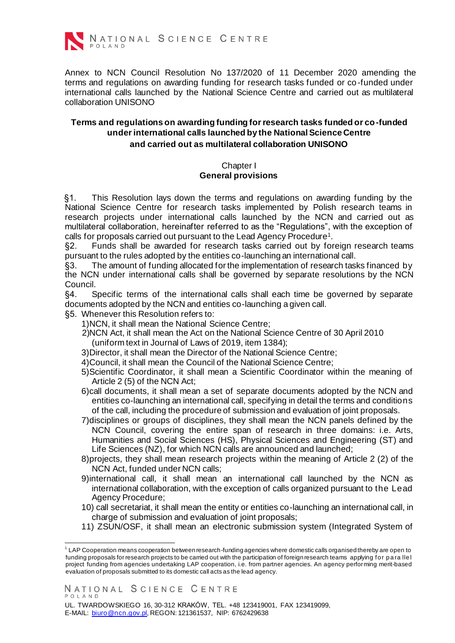

Annex to NCN Council Resolution No 137/2020 of 11 December 2020 amending the terms and regulations on awarding funding for research tasks funded or co-funded under international calls launched by the National Science Centre and carried out as multilateral collaboration UNISONO

### **Terms and regulations on awarding funding for research tasks funded or co-funded under international calls launched by the National Science Centre and carried out as multilateral collaboration UNISONO**

### Chapter I **General provisions**

§1. This Resolution lays down the terms and regulations on awarding funding by the National Science Centre for research tasks implemented by Polish research teams in research projects under international calls launched by the NCN and carried out as multilateral collaboration, hereinafter referred to as the "Regulations", with the exception of calls for proposals carried out pursuant to the Lead Agency Procedure<sup>1</sup>.

§2. Funds shall be awarded for research tasks carried out by foreign research teams pursuant to the rules adopted by the entities co-launching an international call.

§3. The amount of funding allocated for the implementation of research tasks financed by the NCN under international calls shall be governed by separate resolutions by the NCN Council.

§4. Specific terms of the international calls shall each time be governed by separate documents adopted by the NCN and entities co-launching a given call.

- §5. Whenever this Resolution refers to:
	- 1)NCN, it shall mean the National Science Centre;
	- 2)NCN Act, it shall mean the Act on the National Science Centre of 30 April 2010 (uniform text in Journal of Laws of 2019, item 1384);
	- 3)Director, it shall mean the Director of the National Science Centre;
	- 4)Council, it shall mean the Council of the National Science Centre;
	- 5)Scientific Coordinator, it shall mean a Scientific Coordinator within the meaning of Article 2 (5) of the NCN Act;
	- 6)call documents, it shall mean a set of separate documents adopted by the NCN and entities co-launching an international call, specifying in detail the terms and conditions of the call, including the procedure of submission and evaluation of joint proposals.
	- 7)disciplines or groups of disciplines, they shall mean the NCN panels defined by the NCN Council, covering the entire span of research in three domains: i.e. Arts, Humanities and Social Sciences (HS), Physical Sciences and Engineering (ST) and Life Sciences (NZ), for which NCN calls are announced and launched;
	- 8)projects, they shall mean research projects within the meaning of Article 2 (2) of the NCN Act, funded under NCN calls;
	- 9)international call, it shall mean an international call launched by the NCN as international collaboration, with the exception of calls organized pursuant to the Lead Agency Procedure;
	- 10) call secretariat, it shall mean the entity or entities co-launching an international call, in charge of submission and evaluation of joint proposals;
	- 11) ZSUN/OSF, it shall mean an electronic submission system (Integrated System of

<sup>1</sup> LAP Cooperation means cooperation between research-funding agencies where domestic calls organised thereby are open to funding proposals for research projects to be carried out with the participation of foreign research teams applying for para llel project funding from agencies undertaking LAP cooperation, i.e. from partner agencies. An agency performing merit-based evaluation of proposals submitted to its domestic call acts as the lead agency.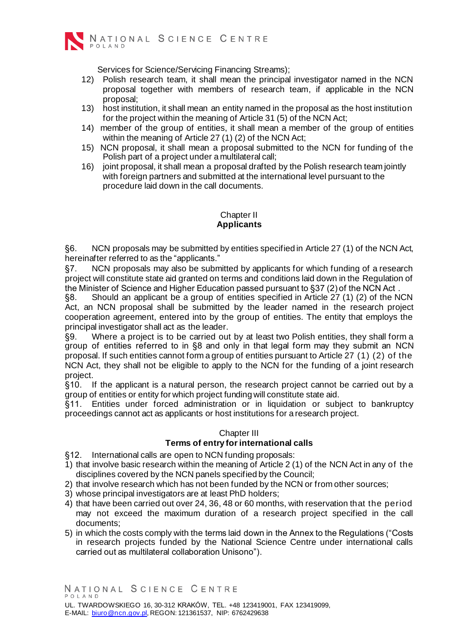

Services for Science/Servicing Financing Streams);

- 12) Polish research team, it shall mean the principal investigator named in the NCN proposal together with members of research team, if applicable in the NCN proposal;
- 13) host institution, it shall mean an entity named in the proposal as the host institution for the project within the meaning of Article 31 (5) of the NCN Act;
- 14) member of the group of entities, it shall mean a member of the group of entities within the meaning of Article 27 (1) (2) of the NCN Act;
- 15) NCN proposal, it shall mean a proposal submitted to the NCN for funding of the Polish part of a project under a multilateral call;
- 16) joint proposal, it shall mean a proposal drafted by the Polish research team jointly with foreign partners and submitted at the international level pursuant to the procedure laid down in the call documents.

## Chapter II **Applicants**

§6. NCN proposals may be submitted by entities specified in Article 27 (1) of the NCN Act, hereinafter referred to as the "applicants."

§7. NCN proposals may also be submitted by applicants for which funding of a research project will constitute state aid granted on terms and conditions laid down in the Regulation of the Minister of Science and Higher Education passed pursuant to §37 (2) of the NCN Act .

§8. Should an applicant be a group of entities specified in Article 27 (1) (2) of the NCN Act, an NCN proposal shall be submitted by the leader named in the research project cooperation agreement, entered into by the group of entities. The entity that employs the principal investigator shall act as the leader.

§9. Where a project is to be carried out by at least two Polish entities, they shall form a group of entities referred to in §8 and only in that legal form may they submit an NCN proposal. If such entities cannot form a group of entities pursuant to Article 27 (1) (2) of the NCN Act, they shall not be eligible to apply to the NCN for the funding of a joint research project.

§10. If the applicant is a natural person, the research project cannot be carried out by a group of entities or entity for which project funding will constitute state aid.

§11. Entities under forced administration or in liquidation or subject to bankruptcy proceedings cannot act as applicants or host institutions for a research project.

# Chapter III

# **Terms of entry for international calls**

§12. International calls are open to NCN funding proposals:

- 1) that involve basic research within the meaning of Article 2 (1) of the NCN Act in any of the disciplines covered by the NCN panels specified by the Council;
- 2) that involve research which has not been funded by the NCN or from other sources;
- 3) whose principal investigators are at least PhD holders;
- 4) that have been carried out over 24, 36, 48 or 60 months, with reservation that the period may not exceed the maximum duration of a research project specified in the call documents;
- 5) in which the costs comply with the terms laid down in the Annex to the Regulations ("Costs in research projects funded by the National Science Centre under international calls carried out as multilateral collaboration Unisono").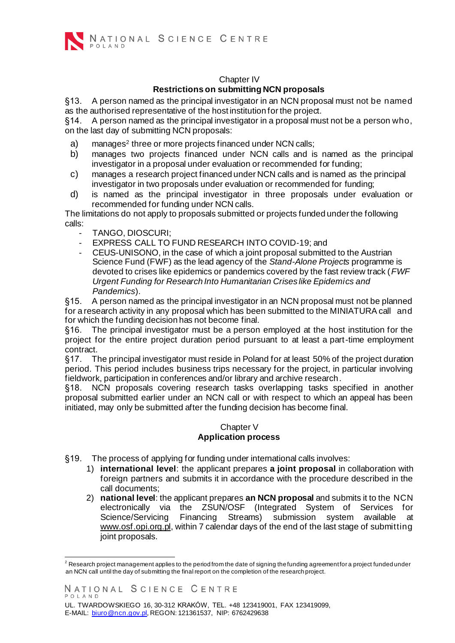

### Chapter IV **Restrictions on submitting NCN proposals**

§13. A person named as the principal investigator in an NCN proposal must not be named as the authorised representative of the host institution for the project.

§14. A person named as the principal investigator in a proposal must not be a person who, on the last day of submitting NCN proposals:

- a) manages<sup>2</sup> [t](#page-3-0)hree or more projects financed under NCN calls;
- b) manages two projects financed under NCN calls and is named as the principal investigator in a proposal under evaluation or recommended for funding;
- c) manages a research project financed under NCN calls and is named as the principal investigator in two proposals under evaluation or recommended for funding;
- d) is named as the principal investigator in three proposals under evaluation or recommended for funding under NCN calls.

The limitations do not apply to proposals submitted or projects funded under the following calls:

- TANGO, DIOSCURI;
- EXPRESS CALL TO FUND RESEARCH INTO COVID-19; and
- CEUS-UNISONO, in the case of which a joint proposal submitted to the Austrian Science Fund (FWF) as the lead agency of the *Stand-Alone Projects* programme is devoted to crises like epidemics or pandemics covered by the fast review track (*FWF Urgent Funding for Research Into Humanitarian Crises like Epidemics and Pandemics*).

§15. A person named as the principal investigator in an NCN proposal must not be planned for a research activity in any proposal which has been submitted to the MINIATURA call and for which the funding decision has not become final.

§16. The principal investigator must be a person employed at the host institution for the project for the entire project duration period pursuant to at least a part-time employment contract.

§17. The principal investigator must reside in Poland for at least 50% of the project duration period. This period includes business trips necessary for the project, in particular involving fieldwork, participation in conferences and/or library and archive research.

§18. NCN proposals covering research tasks overlapping tasks specified in another proposal submitted earlier under an NCN call or with respect to which an appeal has been initiated, may only be submitted after the funding decision has become final.

### Chapter V **Application process**

- §19. The process of applying for funding under international calls involves:
	- 1) **international level**: the applicant prepares **a joint proposal** in collaboration with foreign partners and submits it in accordance with the procedure described in the call documents;
	- 2) **national level**: the applicant prepares **an NCN proposal** and submits it to the NCN electronically via the ZSUN/OSF (Integrated System of Services for Science/Servicing Financing Streams) submission system available a[t](http://www.osf.opi.org.pl/) [www.osf.opi.org.pl,](http://www.osf.opi.org.pl/) within 7 calendar days of the end of the last stage of submitting joint proposals.

 $2$  Research project management applies to the period from the date of signing the funding agreement for a project funded under an NCN call until the day of submitting the final report on the completion of the research project.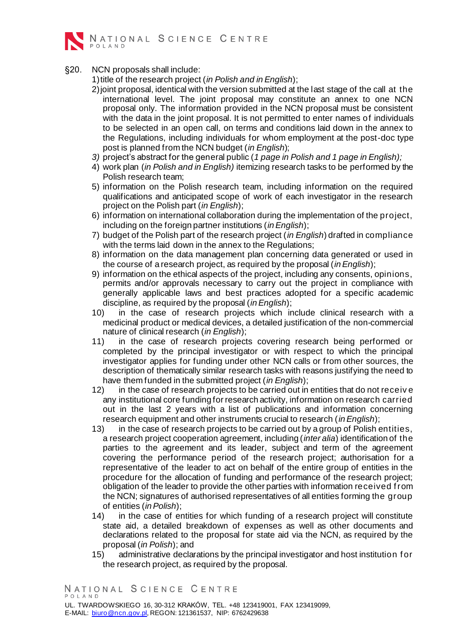

§20. NCN proposals shall include:

1)title of the research project (*in Polish and in English*);

- 2) joint proposal, identical with the version submitted at the last stage of the call at the international level. The joint proposal may constitute an annex to one NCN proposal only. The information provided in the NCN proposal must be consistent with the data in the joint proposal. It is not permitted to enter names of individuals to be selected in an open call, on terms and conditions laid down in the annex to the Regulations, including individuals for whom employment at the post-doc type post is planned from the NCN budget (*in English*);
- *3)* project's abstract for the general public (*1 page in Polish and 1 page in English);*
- 4) work plan (*in Polish and in English)* itemizing research tasks to be performed by the Polish research team;
- 5) information on the Polish research team, including information on the required qualifications and anticipated scope of work of each investigator in the research project on the Polish part (*in English*);
- <span id="page-3-0"></span>6) information on international collaboration during the implementation of the project, including on the foreign partner institutions (*inEnglish*);
- 7) budget of the Polish part of the research project (*in English*) drafted in compliance with the terms laid down in the annex to the Regulations;
- 8) information on the data management plan concerning data generated or used in the course of a research project, as required by the proposal (*inEnglish*);
- 9) information on the ethical aspects of the project, including any consents, opinions, permits and/or approvals necessary to carry out the project in compliance with generally applicable laws and best practices adopted for a specific academic discipline, as required by the proposal (*inEnglish*);
- 10) in the case of research projects which include clinical research with a medicinal product or medical devices, a detailed justification of the non-commercial nature of clinical research (*in English*);
- 11) in the case of research projects covering research being performed or completed by the principal investigator or with respect to which the principal investigator applies for funding under other NCN calls or from other sources, the description of thematically similar research tasks with reasons justifying the need to have them funded in the submitted project (*in English*);
- 12) in the case of research projects to be carried out in entities that do not receiv e any institutional core funding for research activity, information on research carried out in the last 2 years with a list of publications and information concerning research equipment and other instruments crucial to research (*inEnglish*);
- 13) in the case of research projects to be carried out by a group of Polish entities, a research project cooperation agreement, including (*inter alia*) identification of the parties to the agreement and its leader, subject and term of the agreement covering the performance period of the research project; authorisation for a representative of the leader to act on behalf of the entire group of entities in the procedure for the allocation of funding and performance of the research project; obligation of the leader to provide the other parties with information received f rom the NCN; signatures of authorised representatives of all entities forming the group of entities (*inPolish*);
- 14) in the case of entities for which funding of a research project will constitute state aid, a detailed breakdown of expenses as well as other documents and declarations related to the proposal for state aid via the NCN, as required by the proposal (*in Polish*); and
- 15) administrative declarations by the principal investigator and host institution f or the research project, as required by the proposal.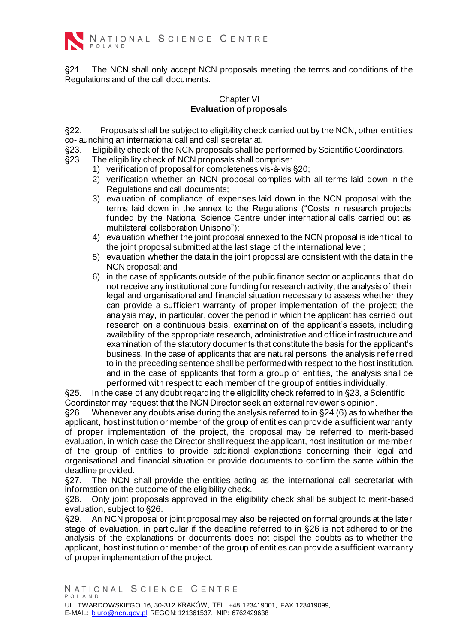

§21. The NCN shall only accept NCN proposals meeting the terms and conditions of the Regulations and of the call documents.

### Chapter VI **Evaluation of proposals**

§22. Proposals shall be subject to eligibility check carried out by the NCN, other entities co-launching an international call and call secretariat.

- §23. Eligibility check of the NCN proposals shall be performed by Scientific Coordinators.
- §23. The eligibility check of NCN proposals shall comprise:
	- 1) verification of proposal for completeness vis-à-vis §20;
		- 2) verification whether an NCN proposal complies with all terms laid down in the Regulations and call documents;
		- 3) evaluation of compliance of expenses laid down in the NCN proposal with the terms laid down in the annex to the Regulations ("Costs in research projects funded by the National Science Centre under international calls carried out as multilateral collaboration Unisono");
		- 4) evaluation whether the joint proposal annexed to the NCN proposal is identical to the joint proposal submitted at the last stage of the international level;
		- 5) evaluation whether the data in the joint proposal are consistent with the data in the NCN proposal; and
		- 6) in the case of applicants outside of the public finance sector or applicants that do not receive any institutional core funding for research activity, the analysis of their legal and organisational and financial situation necessary to assess whether they can provide a sufficient warranty of proper implementation of the project; the analysis may, in particular, cover the period in which the applicant has carried out research on a continuous basis, examination of the applicant's assets, including availability of the appropriate research, administrative and office infrastructure and examination of the statutory documents that constitute the basis for the applicant's business. In the case of applicants that are natural persons, the analysis ref erred to in the preceding sentence shall be performed with respect to the host institution, and in the case of applicants that form a group of entities, the analysis shall be performed with respect to each member of the group of entities individually.

§25. In the case of any doubt regarding the eligibility check referred to in §23, a Scientific Coordinator may request that the NCN Director seek an external reviewer's opinion.

§26. Whenever any doubts arise during the analysis referred to in §24 (6) as to whether the applicant, host institution or member of the group of entities can provide a sufficient warranty of proper implementation of the project, the proposal may be referred to merit-based evaluation, in which case the Director shall request the applicant, host institution or member of the group of entities to provide additional explanations concerning their legal and organisational and financial situation or provide documents to confirm the same within the deadline provided.

§27. The NCN shall provide the entities acting as the international call secretariat with information on the outcome of the eligibility check.

§28. Only joint proposals approved in the eligibility check shall be subject to merit-based evaluation, subject to §26.

§29. An NCN proposal or joint proposal may also be rejected on formal grounds at the later stage of evaluation, in particular if the deadline referred to in §26 is not adhered to or the analysis of the explanations or documents does not dispel the doubts as to whether the applicant, host institution or member of the group of entities can provide a sufficient warranty of proper implementation of the project.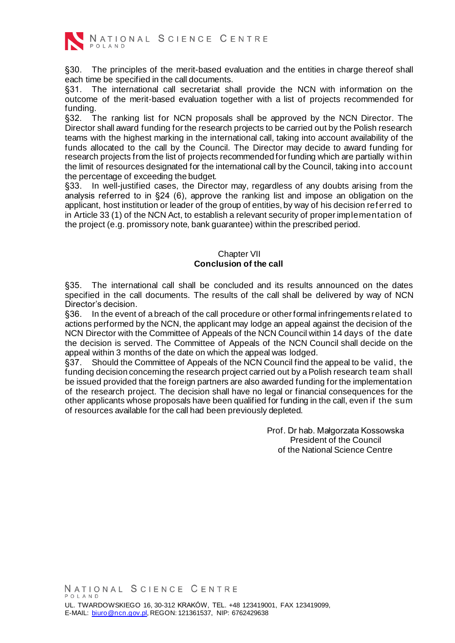

NATIONAL SCIENCE CENTRE

§30. The principles of the merit-based evaluation and the entities in charge thereof shall each time be specified in the call documents.

§31. The international call secretariat shall provide the NCN with information on the outcome of the merit-based evaluation together with a list of projects recommended for funding.

§32. The ranking list for NCN proposals shall be approved by the NCN Director. The Director shall award funding for the research projects to be carried out by the Polish research teams with the highest marking in the international call, taking into account availability of the funds allocated to the call by the Council. The Director may decide to award funding for research projects from the list of projects recommended for funding which are partially within the limit of resources designated for the international call by the Council, taking into account the percentage of exceeding the budget.

§33. In well-justified cases, the Director may, regardless of any doubts arising from the analysis referred to in §24 (6), approve the ranking list and impose an obligation on the applicant, host institution or leader of the group of entities, by way of his decision ref erred to in Article 33 (1) of the NCN Act, to establish a relevant security of proper implementation of the project (e.g. promissory note, bank guarantee) within the prescribed period.

### Chapter VII **Conclusion of the call**

§35. The international call shall be concluded and its results announced on the dates specified in the call documents. The results of the call shall be delivered by way of NCN Director's decision.

§36. In the event of a breach of the call procedure or other formal infringements related to actions performed by the NCN, the applicant may lodge an appeal against the decision of the NCN Director with the Committee of Appeals of the NCN Council within 14 days of the date the decision is served. The Committee of Appeals of the NCN Council shall decide on the appeal within 3 months of the date on which the appeal was lodged.

§37. Should the Committee of Appeals of the NCN Council find the appeal to be valid, the funding decision concerning the research project carried out by a Polish research team shall be issued provided that the foreign partners are also awarded funding for the implementation of the research project. The decision shall have no legal or financial consequences for the other applicants whose proposals have been qualified for funding in the call, even if the sum of resources available for the call had been previously depleted.

> Prof. Dr hab. Małgorzata Kossowska President of the Council of the National Science Centre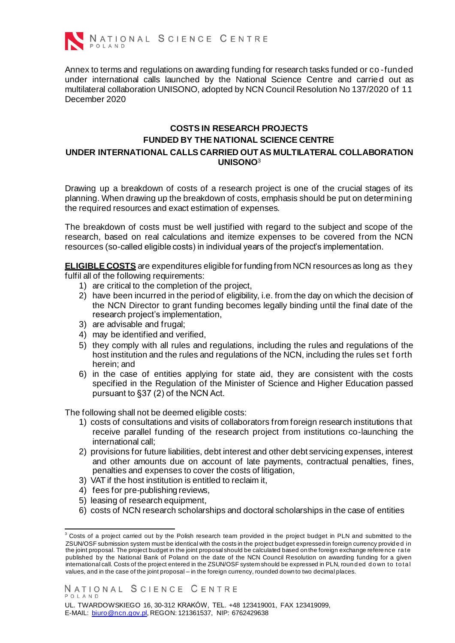

Annex to terms and regulations on awarding funding for research tasks funded or co -funded under international calls launched by the National Science Centre and carried out as multilateral collaboration UNISONO, adopted by NCN Council Resolution No 137/2020 of 11 December 2020

# **COSTS IN RESEARCH PROJECTS FUNDED BY THE NATIONAL SCIENCE CENTRE UNDER INTERNATIONAL CALLS CARRIED OUTAS MULTILATERAL COLLABORATION UNISONO**<sup>3</sup>

Drawing up a breakdown of costs of a research project is one of the crucial stages of its planning. When drawing up the breakdown of costs, emphasis should be put on determining the required resources and exact estimation of expenses.

The breakdown of costs must be well justified with regard to the subject and scope of the research, based on real calculations and itemize expenses to be covered from the NCN resources (so-called eligible costs) in individual years of the project's implementation.

**ELIGIBLE COSTS** are expenditures eligible for funding from NCN resources as long as they fulfil all of the following requirements:

- 1) are critical to the completion of the project,
- 2) have been incurred in the period of eligibility, i.e. from the day on which the decision of the NCN Director to grant funding becomes legally binding until the final date of the research project's implementation,
- 3) are advisable and frugal;
- 4) may be identified and verified,
- 5) they comply with all rules and regulations, including the rules and regulations of the host institution and the rules and regulations of the NCN, including the rules set f orth herein; and
- 6) in the case of entities applying for state aid, they are consistent with the costs specified in the Regulation of the Minister of Science and Higher Education passed pursuant to §37 (2) of the NCN Act.

The following shall not be deemed eligible costs:

- 1) costs of consultations and visits of collaborators from foreign research institutions that receive parallel funding of the research project from institutions co-launching the international call;
- 2) provisions for future liabilities, debt interest and other debt servicing expenses, interest and other amounts due on account of late payments, contractual penalties, fines, penalties and expenses to cover the costs of litigation,
- 3) VAT if the host institution is entitled to reclaim it,
- 4) fees for pre-publishing reviews,
- 5) leasing of research equipment,
- 6) costs of NCN research scholarships and doctoral scholarships in the case of entities

 $3$  Costs of a project carried out by the Polish research team provided in the project budget in PLN and submitted to the ZSUN/OSF submission system must be identical with the costs in the project budget expressed in foreign currency provid e d in the joint proposal. The project budget in the joint proposal should be calculated based on the foreign exchange refere nce ra te published by the National Bank of Poland on the date of the NCN Council Resolution on awarding funding for a given international call. Costs of the project entered in the ZSUN/OSF system should be expressed in PLN, roun ded down to total values, and in the case of the joint proposal – in the foreign currency, rounded down to two decimal places.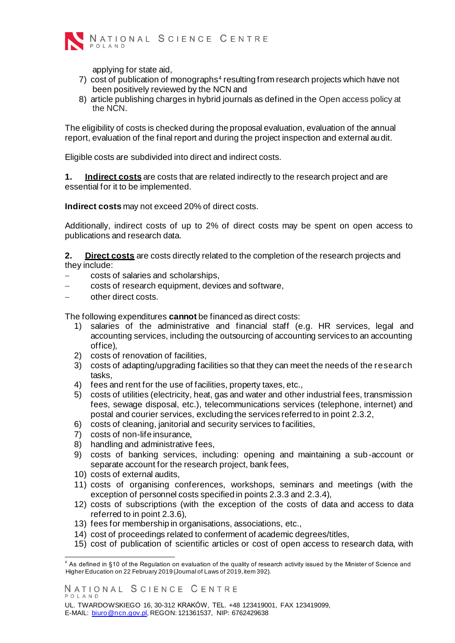

applying for state aid,

- 7) cost of publication of monographs<sup>4</sup> resulting from research projects which have not been positively reviewed by the NCN and
- 8) article publishing charges in hybrid journals as defined in the Open access policy at the NCN.

The eligibility of costs is checked during the proposal evaluation, evaluation of the annual report, evaluation of the final report and during the project inspection and external audit.

Eligible costs are subdivided into direct and indirect costs.

**1. Indirect costs** are costs that are related indirectly to the research project and are essential for it to be implemented.

**Indirect costs** may not exceed 20% of direct costs.

Additionally, indirect costs of up to 2% of direct costs may be spent on open access to publications and research data.

**2. Direct costs** are costs directly related to the completion of the research projects and they include:

- − costs of salaries and scholarships,
- − costs of research equipment, devices and software,
- other direct costs.

The following expenditures **cannot** be financed as direct costs:

- 1) salaries of the administrative and financial staff (e.g. HR services, legal and accounting services, including the outsourcing of accounting services to an accounting office),
- 2) costs of renovation of facilities,
- 3) costs of adapting/upgrading facilities so that they can meet the needs of the research tasks,
- 4) fees and rent for the use of facilities, property taxes, etc.,
- 5) costs of utilities (electricity, heat, gas and water and other industrial fees, transmission fees, sewage disposal, etc.), telecommunications services (telephone, internet) and postal and courier services, excluding the services referred to in point 2.3.2,
- 6) costs of cleaning, janitorial and security services to facilities,
- 7) costs of non-life insurance,
- 8) handling and administrative fees,
- 9) costs of banking services, including: opening and maintaining a sub-account or separate account for the research project, bank fees,
- 10) costs of external audits,
- 11) costs of organising conferences, workshops, seminars and meetings (with the exception of personnel costs specified in points 2.3.3 and 2.3.4),
- 12) costs of subscriptions (with the exception of the costs of data and access to data referred to in point 2.3.6),
- 13) fees for membership in organisations, associations, etc.,
- 14) cost of proceedings related to conferment of academic degrees/titles,
- 15) cost of publication of scientific articles or cost of open access to research data, with

<sup>4</sup> As defined in §10 of the Regulation on evaluation of the quality of research activity issued by the Minister of Science and Higher Education on 22 February 2019 (Journal of Laws of 2019, item 392).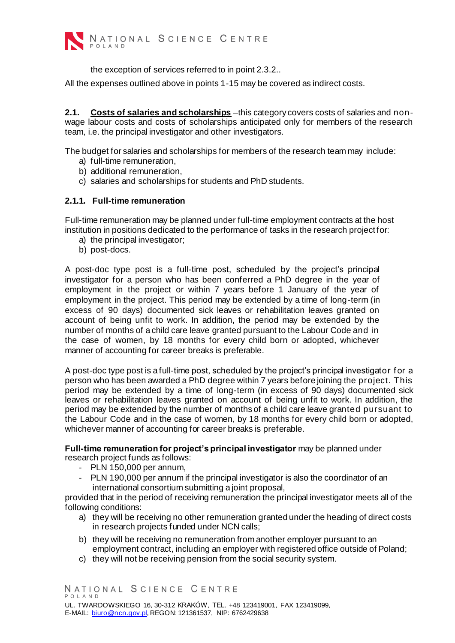

the exception of services referred to in point 2.3.2..

All the expenses outlined above in points 1-15 may be covered as indirect costs.

**2.1. Costs of salaries and scholarships** –this category covers costs of salaries and nonwage labour costs and costs of scholarships anticipated only for members of the research team, i.e. the principal investigator and other investigators.

The budget for salaries and scholarships for members of the research team may include:

- a) full-time remuneration,
- b) additional remuneration,
- c) salaries and scholarships for students and PhD students.

### **2.1.1. Full-time remuneration**

Full-time remuneration may be planned under full-time employment contracts at the host institution in positions dedicated to the performance of tasks in the research project for:

- a) the principal investigator;
- b) post-docs.

A post-doc type post is a full-time post, scheduled by the project's principal investigator for a person who has been conferred a PhD degree in the year of employment in the project or within 7 years before 1 January of the year of employment in the project. This period may be extended by a time of long-term (in excess of 90 days) documented sick leaves or rehabilitation leaves granted on account of being unfit to work. In addition, the period may be extended by the number of months of a child care leave granted pursuant to the Labour Code and in the case of women, by 18 months for every child born or adopted, whichever manner of accounting for career breaks is preferable.

A post-doc type post is a full-time post, scheduled by the project's principal investigator f or a person who has been awarded a PhD degree within 7 years before joining the project. This period may be extended by a time of long-term (in excess of 90 days) documented sick leaves or rehabilitation leaves granted on account of being unfit to work. In addition, the period may be extended by the number of months of a child care leave granted pursuant to the Labour Code and in the case of women, by 18 months for every child born or adopted, whichever manner of accounting for career breaks is preferable.

**Full-time remuneration for project's principal investigator** may be planned under research project funds as follows:

- PLN 150,000 per annum,
- PLN 190,000 per annum if the principal investigator is also the coordinator of an international consortium submitting a joint proposal,

provided that in the period of receiving remuneration the principal investigator meets all of the following conditions:

- a) they will be receiving no other remuneration granted under the heading of direct costs in research projects funded under NCN calls;
- b) they will be receiving no remuneration from another employer pursuant to an employment contract, including an employer with registered office outside of Poland;
- c) they will not be receiving pension from the social security system.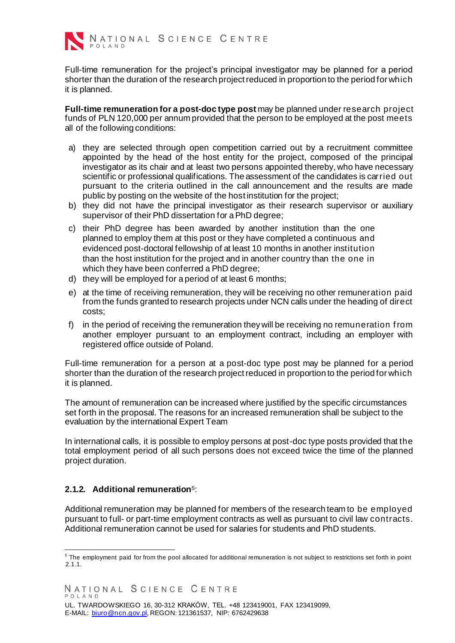

Full-time remuneration for the project's principal investigator may be planned for a period shorter than the duration of the research project reduced in proportion to the period for which it is planned.

**Full-time remuneration for a post-doc type post** may be planned under research project funds of PLN 120,000 per annum provided that the person to be employed at the post meets all of the following conditions:

- a) they are selected through open competition carried out by a recruitment committee appointed by the head of the host entity for the project, composed of the principal investigator as its chair and at least two persons appointed thereby, who have necessary scientific or professional qualifications. The assessment of the candidates is carried out pursuant to the criteria outlined in the call announcement and the results are made public by posting on the website of the host institution for the project;
- b) they did not have the principal investigator as their research supervisor or auxiliary supervisor of their PhD dissertation for a PhD degree;
- c) their PhD degree has been awarded by another institution than the one planned to employ them at this post or they have completed a continuous and evidenced post-doctoral fellowship of at least 10 months in another institution than the host institution for the project and in another country than the one in which they have been conferred a PhD degree;
- d) they will be employed for a period of at least 6 months;
- e) at the time of receiving remuneration, they will be receiving no other remuneration paid from the funds granted to research projects under NCN calls under the heading of direct costs;
- f) in the period of receiving the remuneration they will be receiving no remuneration f rom another employer pursuant to an employment contract, including an employer with registered office outside of Poland.

Full-time remuneration for a person at a post-doc type post may be planned for a period shorter than the duration of the research project reduced in proportion to the period for which it is planned.

The amount of remuneration can be increased where justified by the specific circumstances set forth in the proposal. The reasons for an increased remuneration shall be subject to the evaluation by the international Expert Team

In international calls, it is possible to employ persons at post-doc type posts provided that the total employment period of all such persons does not exceed twice the time of the planned project duration.

# **2.1.2. Additional remuneration**<sup>5</sup> :

Additional remuneration may be planned for members of the research team to be employed pursuant to full- or part-time employment contracts as well as pursuant to civil law contracts. Additional remuneration cannot be used for salaries for students and PhD students.

 $5$  The employment paid for from the pool allocated for additional remuneration is not subject to restrictions set forth in point  $2.1.1.$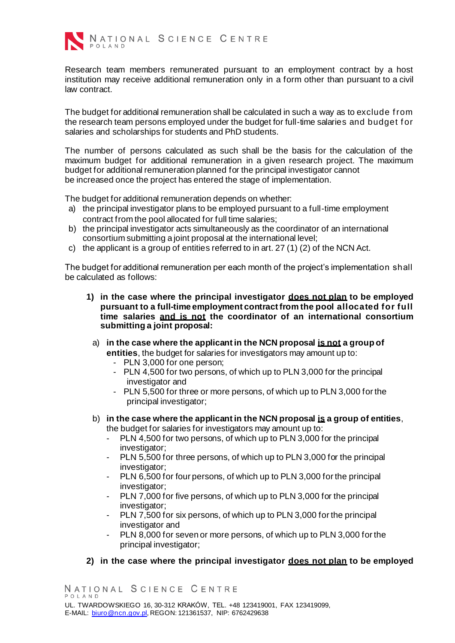

NATIONAL SCIENCE CENTRE

Research team members remunerated pursuant to an employment contract by a host institution may receive additional remuneration only in a form other than pursuant to a civil law contract.

The budget for additional remuneration shall be calculated in such a way as to exclude f rom the research team persons employed under the budget for full-time salaries and budget f or salaries and scholarships for students and PhD students.

The number of persons calculated as such shall be the basis for the calculation of the maximum budget for additional remuneration in a given research project. The maximum budget for additional remuneration planned for the principal investigator cannot be increased once the project has entered the stage of implementation.

The budget for additional remuneration depends on whether:

- a) the principal investigator plans to be employed pursuant to a full-time employment contract from the pool allocated for full time salaries;
- b) the principal investigator acts simultaneously as the coordinator of an international consortium submitting a joint proposal at the international level;
- c) the applicant is a group of entities referred to in art. 27 (1) (2) of the NCN Act.

The budget for additional remuneration per each month of the project's implementation shall be calculated as follows:

- **1) in the case where the principal investigator does not plan to be employed pursuant to a full-time employment contract from the pool allocated for full time salaries and is not the coordinator of an international consortium submitting a joint proposal:**
	- a) **in the case where the applicant in the NCN proposal is not a group of entities**, the budget for salaries for investigators may amount up to:
		- PLN 3,000 for one person;
		- PLN 4,500 for two persons, of which up to PLN 3,000 for the principal investigator and
		- PLN 5,500 for three or more persons, of which up to PLN 3,000 for the principal investigator;
	- b) **in the case where the applicant in the NCN proposal is a group of entities**, the budget for salaries for investigators may amount up to:
		- PLN 4,500 for two persons, of which up to PLN 3,000 for the principal investigator;
		- PLN 5,500 for three persons, of which up to PLN 3,000 for the principal investigator;
		- PLN 6,500 for four persons, of which up to PLN 3,000 for the principal investigator;
		- PLN 7,000 for five persons, of which up to PLN 3,000 for the principal investigator;
		- PLN 7,500 for six persons, of which up to PLN 3,000 for the principal investigator and
		- PLN 8,000 for seven or more persons, of which up to PLN 3,000 for the principal investigator;

### **2) in the case where the principal investigator does not plan to be employed**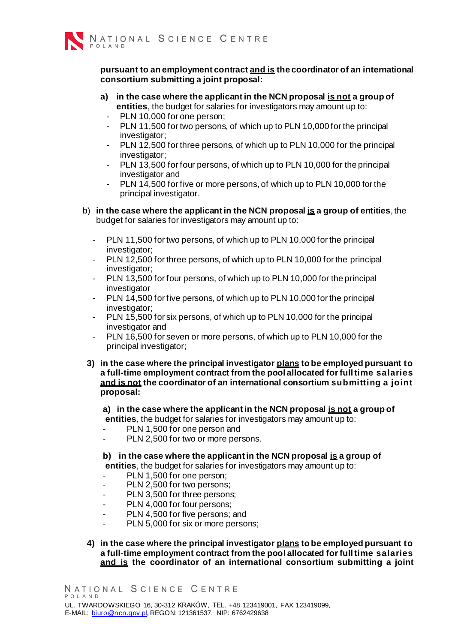

#### **pursuant to an employment contract and is the coordinator of an international consortium submitting a joint proposal:**

- **a) in the case where the applicant in the NCN proposal is not a group of entities**, the budget for salaries for investigators may amount up to:
	- PLN 10.000 for one person;
	- PLN 11,500 for two persons, of which up to PLN 10,000 for the principal investigator:
	- PLN 12,500 for three persons, of which up to PLN 10,000 for the principal investigator;
	- PLN 13,500 for four persons, of which up to PLN 10,000 for the principal investigator and
	- PLN 14,500 for five or more persons, of which up to PLN 10,000 for the principal investigator.
- b) **in the case where the applicant in the NCN proposal is a group of entities**, the budget for salaries for investigators may amount up to:
	- PLN 11,500 for two persons, of which up to PLN 10,000 for the principal investigator;
	- PLN 12,500 for three persons, of which up to PLN 10,000 for the principal investigator;
	- PLN 13,500 for four persons, of which up to PLN 10,000 for the principal investigator
	- PLN 14,500 for five persons, of which up to PLN 10,000 for the principal investigator;
	- PLN 15,500 for six persons, of which up to PLN 10,000 for the principal investigator and
	- PLN 16,500 for seven or more persons, of which up to PLN 10,000 for the principal investigator;
	- **3) in the case where the principal investigator plans to be employed pursuant to a full-time employment contract from the pool allocated for full time salaries and is not the coordinator of an international consortium submitting a joint proposal:**

**a) in the case where the applicant in the NCN proposal is not a group of entities**, the budget for salaries for investigators may amount up to:

- PLN 1,500 for one person and
- PLN 2,500 for two or more persons.

**b) in the case where the applicant in the NCN proposal is a group of entities**, the budget for salaries for investigators may amount up to:

- PLN 1,500 for one person;
- PLN 2,500 for two persons;
- PLN 3,500 for three persons;
- PLN 4,000 for four persons;
- PLN 4,500 for five persons; and
- PLN 5,000 for six or more persons;
- **4) in the case where the principal investigator plans to be employed pursuant to a full-time employment contract from the pool allocated for full time salaries and is the coordinator of an international consortium submitting a joint**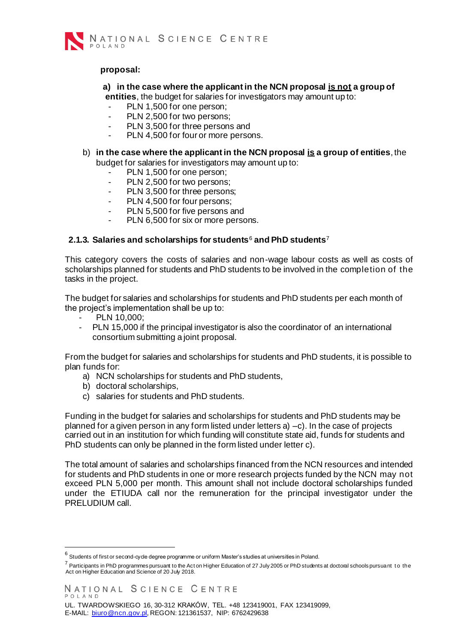

#### **proposal:**

### **a) in the case where the applicant in the NCN proposal is not a group of entities**, the budget for salaries for investigators may amount up to:

- PLN 1,500 for one person;
- PLN 2.500 for two persons:
- PLN 3,500 for three persons and
- PLN 4,500 for four or more persons.
- b) **in the case where the applicant in the NCN proposal is a group of entities**, the budget for salaries for investigators may amount up to:
	- PLN 1,500 for one person;
	- PLN 2,500 for two persons;
	- PLN 3,500 for three persons;
	- PLN 4,500 for four persons;
	- PLN 5,500 for five persons and
	- PLN 6,500 for six or more persons.

#### **2.1.3. Salaries and scholarships for students<sup>[6](#page-13-0)</[s](#page-13-0)up> and PhD students<sup>7</sup>**

This category covers the costs of salaries and non-wage labour costs as well as costs of scholarships planned for students and PhD students to be involved in the completion of the tasks in the project.

The budget for salaries and scholarships for students and PhD students per each month of the project's implementation shall be up to:

- PLN 10,000:
- PLN 15,000 if the principal investigator is also the coordinator of an international consortium submitting a joint proposal.

From the budget for salaries and scholarships for students and PhD students, it is possible to plan funds for:

- a) NCN scholarships for students and PhD students,
- b) doctoral scholarships,
- c) salaries for students and PhD students.

Funding in the budget for salaries and scholarships for students and PhD students may be planned for a given person in any form listed under letters a) –c). In the case of projects carried out in an institution for which funding will constitute state aid, funds for students and PhD students can only be planned in the form listed under letter c).

The total amount of salaries and scholarships financed from the NCN resources and intended for students and PhD students in one or more research projects funded by the NCN may not exceed PLN 5,000 per month. This amount shall not include doctoral scholarships funded under the ETIUDA call nor the remuneration for the principal investigator under the PRELUDIUM call.

 $^6$  Students of first or second-cycle degree programme or uniform Master's studies at universities in Poland.

 $^7$  Participants in PhD programmes pursuant to the Act on Higher Education of 27 July 2005 or PhD students at doctoral schools pursuant to the Act on Higher Education and Science of 20 July 2018.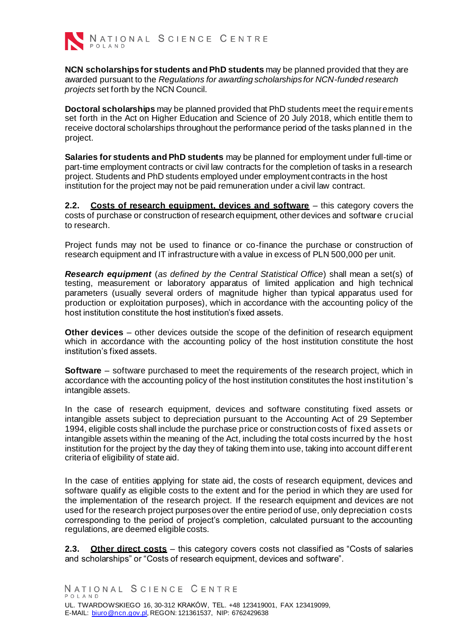

<span id="page-13-0"></span>**NCN scholarships for students and PhD students** may be planned provided that they are awarded pursuant to the *Regulations for awarding scholarships for NCN-funded research projects* set forth by the NCN Council.

**Doctoral scholarships** may be planned provided that PhD students meet the requirements set forth in the Act on Higher Education and Science of 20 July 2018, which entitle them to receive doctoral scholarships throughout the performance period of the tasks planned in the project.

**Salaries for students and PhD students** may be planned for employment under full-time or part-time employment contracts or civil law contracts for the completion of tasks in a research project. Students and PhD students employed under employment contracts in the host institution for the project may not be paid remuneration under a civil law contract.

**2.2. Costs of research equipment, devices and software** – this category covers the costs of purchase or construction of research equipment, other devices and software crucial to research.

Project funds may not be used to finance or co-finance the purchase or construction of research equipment and IT infrastructure with a value in excess of PLN 500,000 per unit.

*Research equipment* (*as defined by the Central Statistical Office*) shall mean a set(s) of testing, measurement or laboratory apparatus of limited application and high technical parameters (usually several orders of magnitude higher than typical apparatus used for production or exploitation purposes), which in accordance with the accounting policy of the host institution constitute the host institution's fixed assets.

**Other devices** – other devices outside the scope of the definition of research equipment which in accordance with the accounting policy of the host institution constitute the host institution's fixed assets.

**Software** – software purchased to meet the requirements of the research project, which in accordance with the accounting policy of the host institution constitutes the host institution's intangible assets.

In the case of research equipment, devices and software constituting fixed assets or intangible assets subject to depreciation pursuant to the Accounting Act of 29 September 1994, eligible costs shall include the purchase price or construction costs of fixed assets or intangible assets within the meaning of the Act, including the total costs incurred by the host institution for the project by the day they of taking them into use, taking into account diff erent criteria of eligibility of state aid.

In the case of entities applying for state aid, the costs of research equipment, devices and software qualify as eligible costs to the extent and for the period in which they are used for the implementation of the research project. If the research equipment and devices are not used for the research project purposes over the entire period of use, only depreciation costs corresponding to the period of project's completion, calculated pursuant to the accounting regulations, are deemed eligible costs.

**2.3. Other direct costs** – this category covers costs not classified as "Costs of salaries and scholarships" or "Costs of research equipment, devices and software".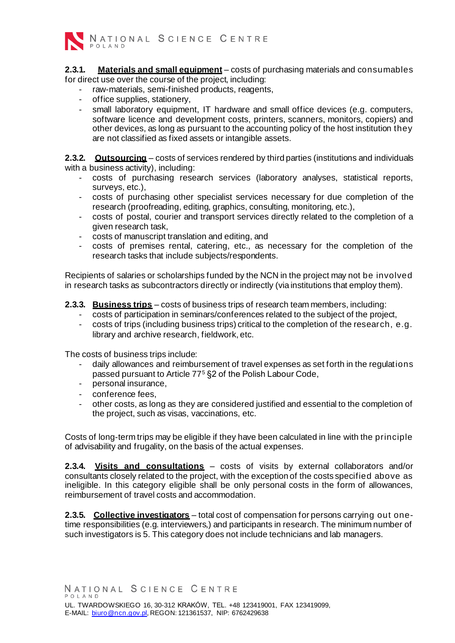

**2.3.1. Materials and small equipment** – costs of purchasing materials and consumables for direct use over the course of the project, including:

- raw-materials, semi-finished products, reagents,
- office supplies, stationery,
- small laboratory equipment, IT hardware and small office devices (e.g. computers, software licence and development costs, printers, scanners, monitors, copiers) and other devices, as long as pursuant to the accounting policy of the host institution they are not classified as fixed assets or intangible assets.

**2.3.2. Outsourcing** – costs of services rendered by third parties (institutions and individuals with a business activity), including:

- costs of purchasing research services (laboratory analyses, statistical reports, surveys, etc.),
- costs of purchasing other specialist services necessary for due completion of the research (proofreading, editing, graphics, consulting, monitoring, etc.),
- costs of postal, courier and transport services directly related to the completion of a given research task,
- costs of manuscript translation and editing, and
- costs of premises rental, catering, etc., as necessary for the completion of the research tasks that include subjects/respondents.

Recipients of salaries or scholarships funded by the NCN in the project may not be involved in research tasks as subcontractors directly or indirectly (via institutions that employ them).

**2.3.3. Business trips** – costs of business trips of research team members, including:

- costs of participation in seminars/conferences related to the subject of the project,
- costs of trips (including business trips) critical to the completion of the research, e.g. library and archive research, fieldwork, etc.

The costs of business trips include:

- daily allowances and reimbursement of travel expenses as set forth in the regulations passed pursuant to Article 77<sup>5</sup> §2 of the Polish Labour Code,
- personal insurance,
- conference fees,
- other costs, as long as they are considered justified and essential to the completion of the project, such as visas, vaccinations, etc.

Costs of long-term trips may be eligible if they have been calculated in line with the principle of advisability and frugality, on the basis of the actual expenses.

**2.3.4. Visits and consultations** – costs of visits by external collaborators and/or consultants closely related to the project, with the exception of the costs specified above as ineligible. In this category eligible shall be only personal costs in the form of allowances, reimbursement of travel costs and accommodation.

**2.3.5. Collective investigators** – total cost of compensation for persons carrying out onetime responsibilities (e.g. interviewers,) and participants in research. The minimum number of such investigators is 5. This category does not include technicians and lab managers.